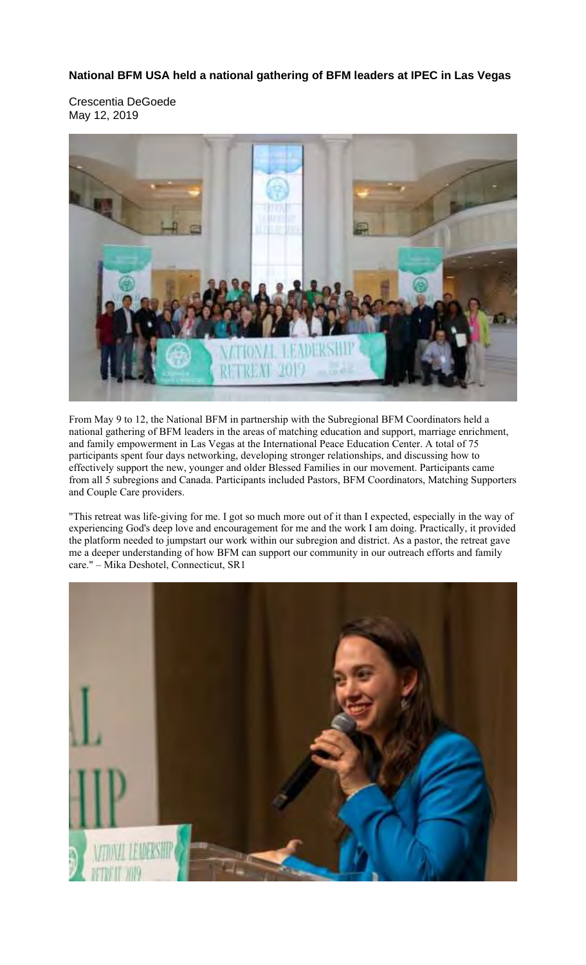**National BFM USA held a national gathering of BFM leaders at IPEC in Las Vegas** 

Crescentia DeGoede May 12, 2019



From May 9 to 12, the National BFM in partnership with the Subregional BFM Coordinators held a national gathering of BFM leaders in the areas of matching education and support, marriage enrichment, and family empowerment in Las Vegas at the International Peace Education Center. A total of 75 participants spent four days networking, developing stronger relationships, and discussing how to effectively support the new, younger and older Blessed Families in our movement. Participants came from all 5 subregions and Canada. Participants included Pastors, BFM Coordinators, Matching Supporters and Couple Care providers.

"This retreat was life-giving for me. I got so much more out of it than I expected, especially in the way of experiencing God's deep love and encouragement for me and the work I am doing. Practically, it provided the platform needed to jumpstart our work within our subregion and district. As a pastor, the retreat gave me a deeper understanding of how BFM can support our community in our outreach efforts and family care." – Mika Deshotel, Connecticut, SR1

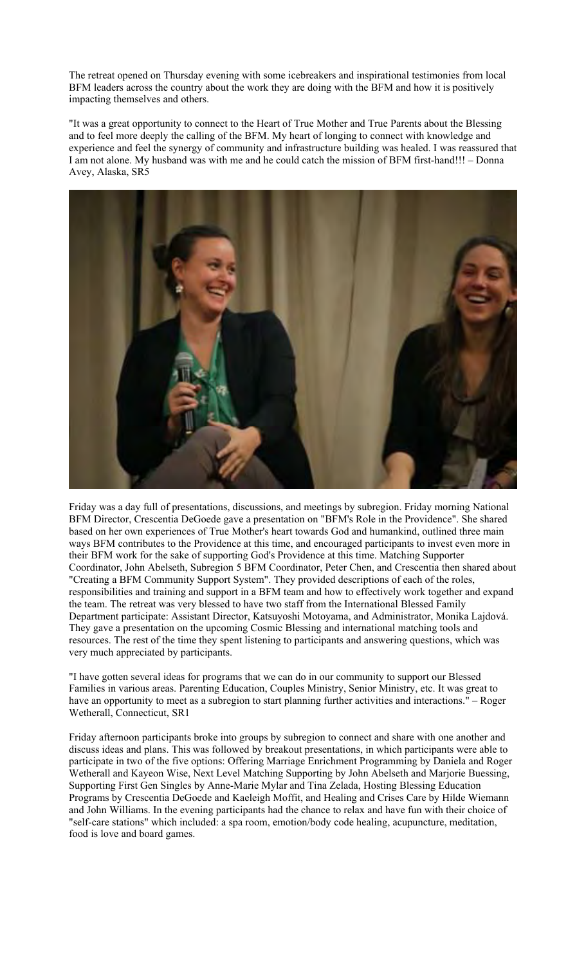The retreat opened on Thursday evening with some icebreakers and inspirational testimonies from local BFM leaders across the country about the work they are doing with the BFM and how it is positively impacting themselves and others.

"It was a great opportunity to connect to the Heart of True Mother and True Parents about the Blessing and to feel more deeply the calling of the BFM. My heart of longing to connect with knowledge and experience and feel the synergy of community and infrastructure building was healed. I was reassured that I am not alone. My husband was with me and he could catch the mission of BFM first-hand!!! – Donna Avey, Alaska, SR5



Friday was a day full of presentations, discussions, and meetings by subregion. Friday morning National BFM Director, Crescentia DeGoede gave a presentation on "BFM's Role in the Providence". She shared based on her own experiences of True Mother's heart towards God and humankind, outlined three main ways BFM contributes to the Providence at this time, and encouraged participants to invest even more in their BFM work for the sake of supporting God's Providence at this time. Matching Supporter Coordinator, John Abelseth, Subregion 5 BFM Coordinator, Peter Chen, and Crescentia then shared about "Creating a BFM Community Support System". They provided descriptions of each of the roles, responsibilities and training and support in a BFM team and how to effectively work together and expand the team. The retreat was very blessed to have two staff from the International Blessed Family Department participate: Assistant Director, Katsuyoshi Motoyama, and Administrator, Monika Lajdová. They gave a presentation on the upcoming Cosmic Blessing and international matching tools and resources. The rest of the time they spent listening to participants and answering questions, which was very much appreciated by participants.

"I have gotten several ideas for programs that we can do in our community to support our Blessed Families in various areas. Parenting Education, Couples Ministry, Senior Ministry, etc. It was great to have an opportunity to meet as a subregion to start planning further activities and interactions." – Roger Wetherall, Connecticut, SR1

Friday afternoon participants broke into groups by subregion to connect and share with one another and discuss ideas and plans. This was followed by breakout presentations, in which participants were able to participate in two of the five options: Offering Marriage Enrichment Programming by Daniela and Roger Wetherall and Kayeon Wise, Next Level Matching Supporting by John Abelseth and Marjorie Buessing, Supporting First Gen Singles by Anne-Marie Mylar and Tina Zelada, Hosting Blessing Education Programs by Crescentia DeGoede and Kaeleigh Moffit, and Healing and Crises Care by Hilde Wiemann and John Williams. In the evening participants had the chance to relax and have fun with their choice of "self-care stations" which included: a spa room, emotion/body code healing, acupuncture, meditation, food is love and board games.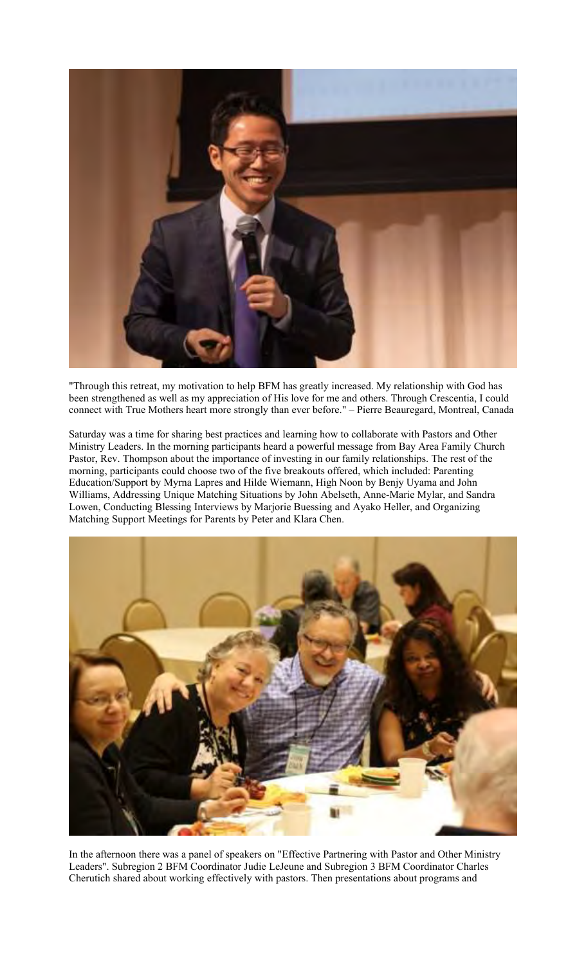

"Through this retreat, my motivation to help BFM has greatly increased. My relationship with God has been strengthened as well as my appreciation of His love for me and others. Through Crescentia, I could connect with True Mothers heart more strongly than ever before." – Pierre Beauregard, Montreal, Canada

Saturday was a time for sharing best practices and learning how to collaborate with Pastors and Other Ministry Leaders. In the morning participants heard a powerful message from Bay Area Family Church Pastor, Rev. Thompson about the importance of investing in our family relationships. The rest of the morning, participants could choose two of the five breakouts offered, which included: Parenting Education/Support by Myrna Lapres and Hilde Wiemann, High Noon by Benjy Uyama and John Williams, Addressing Unique Matching Situations by John Abelseth, Anne-Marie Mylar, and Sandra Lowen, Conducting Blessing Interviews by Marjorie Buessing and Ayako Heller, and Organizing Matching Support Meetings for Parents by Peter and Klara Chen.



In the afternoon there was a panel of speakers on "Effective Partnering with Pastor and Other Ministry Leaders". Subregion 2 BFM Coordinator Judie LeJeune and Subregion 3 BFM Coordinator Charles Cherutich shared about working effectively with pastors. Then presentations about programs and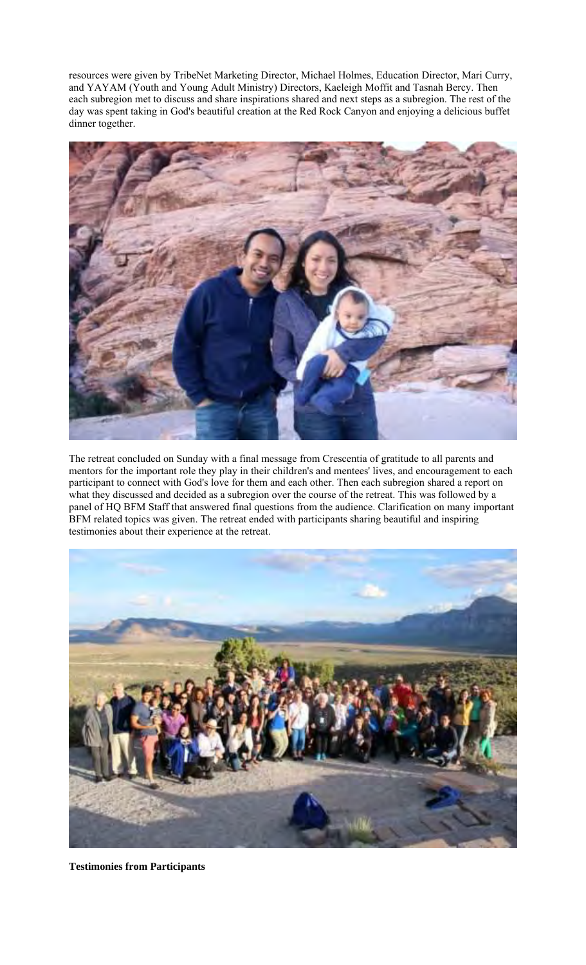resources were given by TribeNet Marketing Director, Michael Holmes, Education Director, Mari Curry, and YAYAM (Youth and Young Adult Ministry) Directors, Kaeleigh Moffit and Tasnah Bercy. Then each subregion met to discuss and share inspirations shared and next steps as a subregion. The rest of the day was spent taking in God's beautiful creation at the Red Rock Canyon and enjoying a delicious buffet dinner together.



The retreat concluded on Sunday with a final message from Crescentia of gratitude to all parents and mentors for the important role they play in their children's and mentees' lives, and encouragement to each participant to connect with God's love for them and each other. Then each subregion shared a report on what they discussed and decided as a subregion over the course of the retreat. This was followed by a panel of HQ BFM Staff that answered final questions from the audience. Clarification on many important BFM related topics was given. The retreat ended with participants sharing beautiful and inspiring testimonies about their experience at the retreat.



**Testimonies from Participants**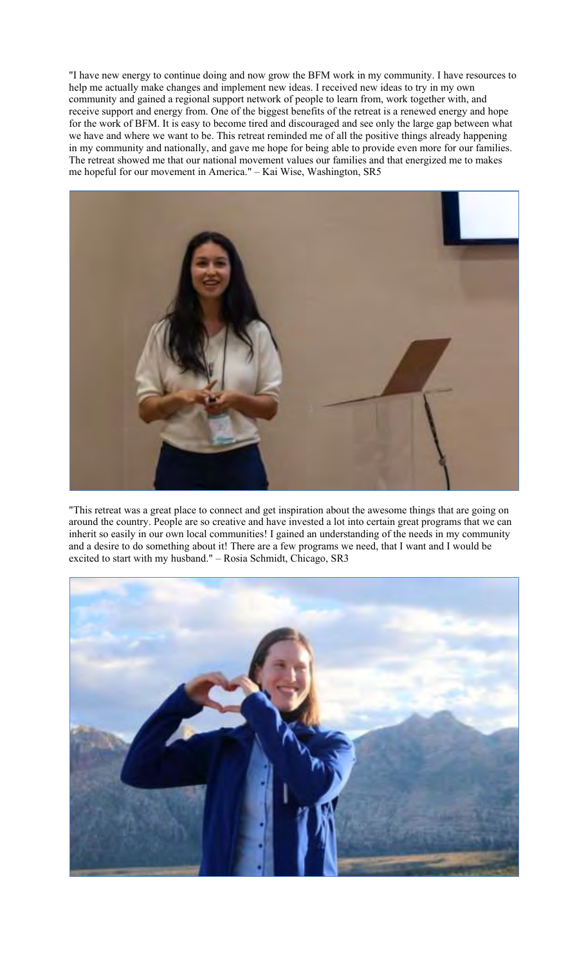"I have new energy to continue doing and now grow the BFM work in my community. I have resources to help me actually make changes and implement new ideas. I received new ideas to try in my own community and gained a regional support network of people to learn from, work together with, and receive support and energy from. One of the biggest benefits of the retreat is a renewed energy and hope for the work of BFM. It is easy to become tired and discouraged and see only the large gap between what we have and where we want to be. This retreat reminded me of all the positive things already happening in my community and nationally, and gave me hope for being able to provide even more for our families. The retreat showed me that our national movement values our families and that energized me to makes me hopeful for our movement in America." – Kai Wise, Washington, SR5



"This retreat was a great place to connect and get inspiration about the awesome things that are going on around the country. People are so creative and have invested a lot into certain great programs that we can inherit so easily in our own local communities! I gained an understanding of the needs in my community and a desire to do something about it! There are a few programs we need, that I want and I would be excited to start with my husband." – Rosia Schmidt, Chicago, SR3

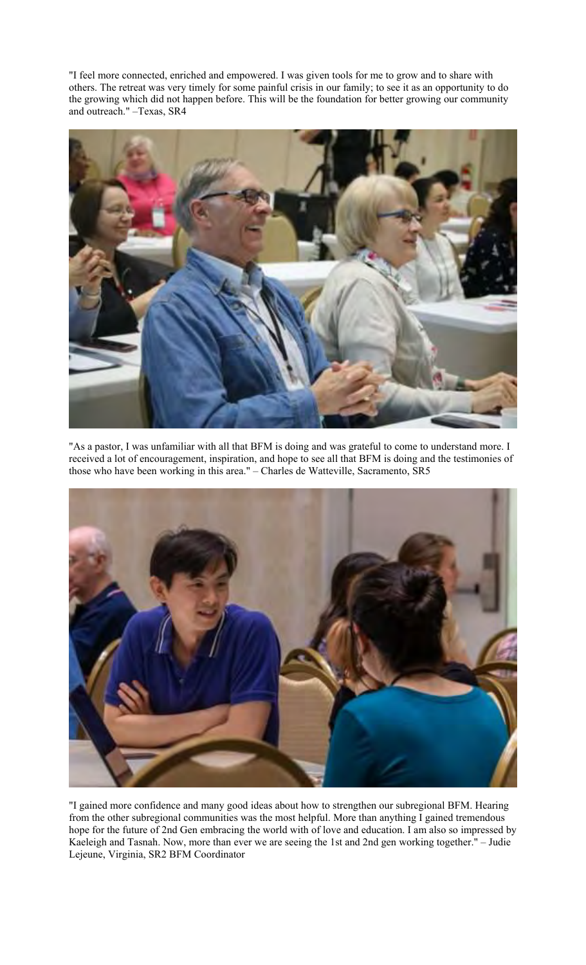"I feel more connected, enriched and empowered. I was given tools for me to grow and to share with others. The retreat was very timely for some painful crisis in our family; to see it as an opportunity to do the growing which did not happen before. This will be the foundation for better growing our community and outreach." –Texas, SR4



"As a pastor, I was unfamiliar with all that BFM is doing and was grateful to come to understand more. I received a lot of encouragement, inspiration, and hope to see all that BFM is doing and the testimonies of those who have been working in this area." – Charles de Watteville, Sacramento, SR5



"I gained more confidence and many good ideas about how to strengthen our subregional BFM. Hearing from the other subregional communities was the most helpful. More than anything I gained tremendous hope for the future of 2nd Gen embracing the world with of love and education. I am also so impressed by Kaeleigh and Tasnah. Now, more than ever we are seeing the 1st and 2nd gen working together." – Judie Lejeune, Virginia, SR2 BFM Coordinator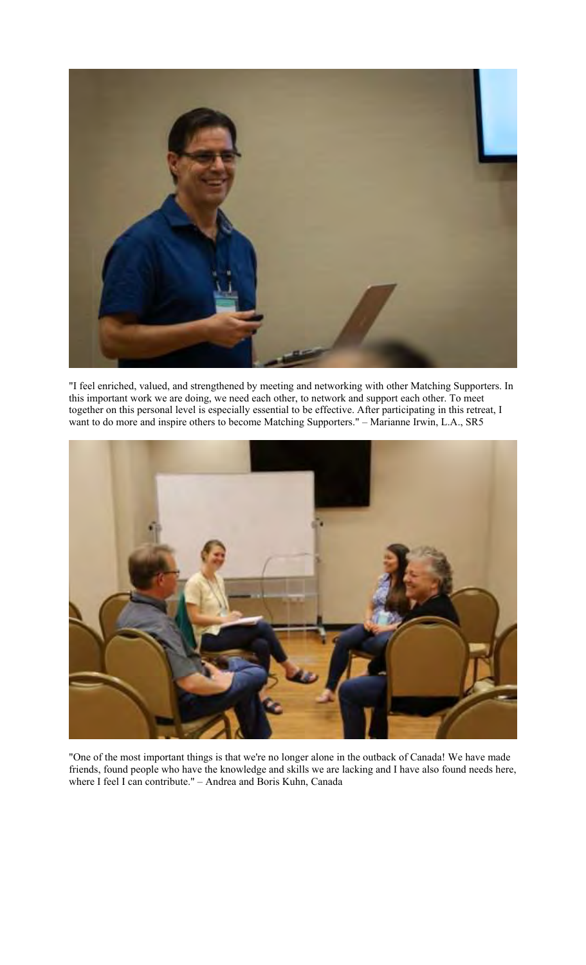

"I feel enriched, valued, and strengthened by meeting and networking with other Matching Supporters. In this important work we are doing, we need each other, to network and support each other. To meet together on this personal level is especially essential to be effective. After participating in this retreat, I want to do more and inspire others to become Matching Supporters." – Marianne Irwin, L.A., SR5



"One of the most important things is that we're no longer alone in the outback of Canada! We have made friends, found people who have the knowledge and skills we are lacking and I have also found needs here, where I feel I can contribute." – Andrea and Boris Kuhn, Canada